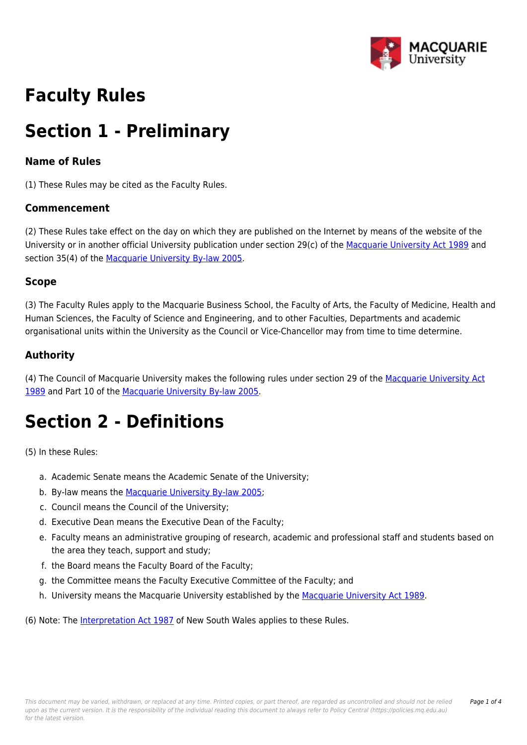

# **Faculty Rules**

# **Section 1 - Preliminary**

## **Name of Rules**

(1) These Rules may be cited as the Faculty Rules.

### **Commencement**

(2) These Rules take effect on the day on which they are published on the Internet by means of the website of the University or in another official University publication under section 29(c) of the [Macquarie University Act 1989](https://policies.mq.edu.au/directory/summary.php?legislation=1) and section 35(4) of the [Macquarie University By-law 2005.](https://policies.mq.edu.au/directory/summary.php?legislation=2)

### **Scope**

(3) The Faculty Rules apply to the Macquarie Business School, the Faculty of Arts, the Faculty of Medicine, Health and Human Sciences, the Faculty of Science and Engineering, and to other Faculties, Departments and academic organisational units within the University as the Council or Vice-Chancellor may from time to time determine.

# **Authority**

(4) The Council of Macquarie University makes the following rules under section 29 of the [Macquarie University Act](https://policies.mq.edu.au/directory/summary.php?legislation=1) [1989](https://policies.mq.edu.au/directory/summary.php?legislation=1) and Part 10 of the [Macquarie University By-law 2005](https://policies.mq.edu.au/directory/summary.php?legislation=2).

# **Section 2 - Definitions**

(5) In these Rules:

- a. Academic Senate means the Academic Senate of the University;
- b. By-law means the [Macquarie University By-law 2005;](https://policies.mq.edu.au/directory/summary.php?legislation=2)
- c. Council means the Council of the University;
- d. Executive Dean means the Executive Dean of the Faculty;
- e. Faculty means an administrative grouping of research, academic and professional staff and students based on the area they teach, support and study;
- f. the Board means the Faculty Board of the Faculty;
- g. the Committee means the Faculty Executive Committee of the Faculty; and
- h. University means the Macquarie University established by the [Macquarie University Act 1989.](https://policies.mq.edu.au/directory/summary.php?legislation=1)

(6) Note: The [Interpretation Act 1987](https://policies.mq.edu.au/directory/summary.php?legislation=100) of New South Wales applies to these Rules.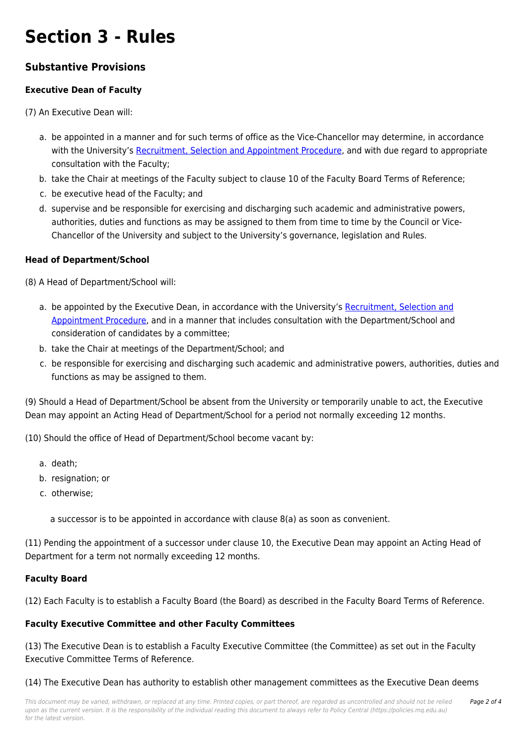# **Section 3 - Rules**

# **Substantive Provisions**

## **Executive Dean of Faculty**

(7) An Executive Dean will:

- a. be appointed in a manner and for such terms of office as the Vice-Chancellor may determine, in accordance with the University's [Recruitment, Selection and Appointment Procedure](https://policies.mq.edu.au/document/view.php?id=85), and with due regard to appropriate consultation with the Faculty;
- b. take the Chair at meetings of the Faculty subject to clause 10 of the Faculty Board Terms of Reference;
- c. be executive head of the Faculty; and
- d. supervise and be responsible for exercising and discharging such academic and administrative powers, authorities, duties and functions as may be assigned to them from time to time by the Council or Vice-Chancellor of the University and subject to the University's governance, legislation and Rules.

#### **Head of Department/School**

(8) A Head of Department/School will:

- a. be appointed by the Executive Dean, in accordance with the University's [Recruitment, Selection and](https://policies.mq.edu.au/document/view.php?id=85) [Appointment Procedure](https://policies.mq.edu.au/document/view.php?id=85), and in a manner that includes consultation with the Department/School and consideration of candidates by a committee;
- b. take the Chair at meetings of the Department/School; and
- c. be responsible for exercising and discharging such academic and administrative powers, authorities, duties and functions as may be assigned to them.

(9) Should a Head of Department/School be absent from the University or temporarily unable to act, the Executive Dean may appoint an Acting Head of Department/School for a period not normally exceeding 12 months.

(10) Should the office of Head of Department/School become vacant by:

- a. death;
- b. resignation; or
- c. otherwise;

a successor is to be appointed in accordance with clause 8(a) as soon as convenient.

(11) Pending the appointment of a successor under clause 10, the Executive Dean may appoint an Acting Head of Department for a term not normally exceeding 12 months.

#### **Faculty Board**

(12) Each Faculty is to establish a Faculty Board (the Board) as described in the Faculty Board Terms of Reference.

### **Faculty Executive Committee and other Faculty Committees**

(13) The Executive Dean is to establish a Faculty Executive Committee (the Committee) as set out in the Faculty Executive Committee Terms of Reference.

(14) The Executive Dean has authority to establish other management committees as the Executive Dean deems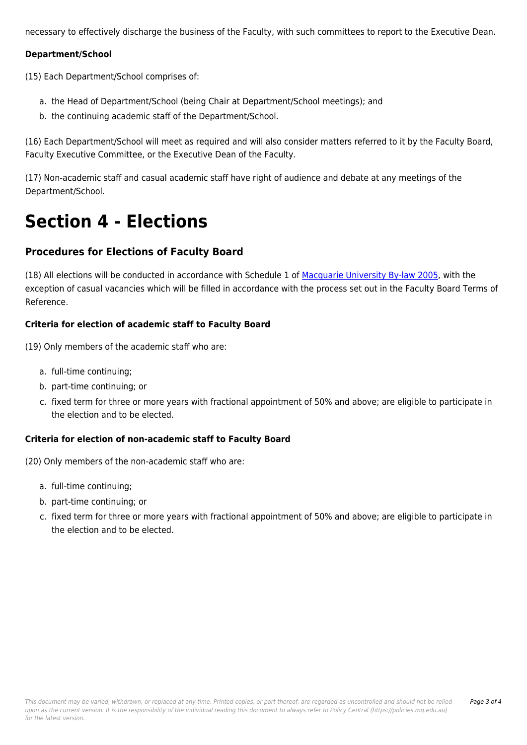necessary to effectively discharge the business of the Faculty, with such committees to report to the Executive Dean.

#### **Department/School**

(15) Each Department/School comprises of:

- a. the Head of Department/School (being Chair at Department/School meetings); and
- b. the continuing academic staff of the Department/School.

(16) Each Department/School will meet as required and will also consider matters referred to it by the Faculty Board, Faculty Executive Committee, or the Executive Dean of the Faculty.

(17) Non-academic staff and casual academic staff have right of audience and debate at any meetings of the Department/School.

# **Section 4 - Elections**

### **Procedures for Elections of Faculty Board**

(18) All elections will be conducted in accordance with Schedule 1 of [Macquarie University By-law 2005](https://policies.mq.edu.au/directory/summary.php?legislation=2), with the exception of casual vacancies which will be filled in accordance with the process set out in the Faculty Board Terms of Reference.

#### **Criteria for election of academic staff to Faculty Board**

(19) Only members of the academic staff who are:

- a. full-time continuing;
- b. part-time continuing; or
- c. fixed term for three or more years with fractional appointment of 50% and above; are eligible to participate in the election and to be elected.

#### **Criteria for election of non-academic staff to Faculty Board**

(20) Only members of the non-academic staff who are:

- a. full-time continuing;
- b. part-time continuing; or
- c. fixed term for three or more years with fractional appointment of 50% and above; are eligible to participate in the election and to be elected.